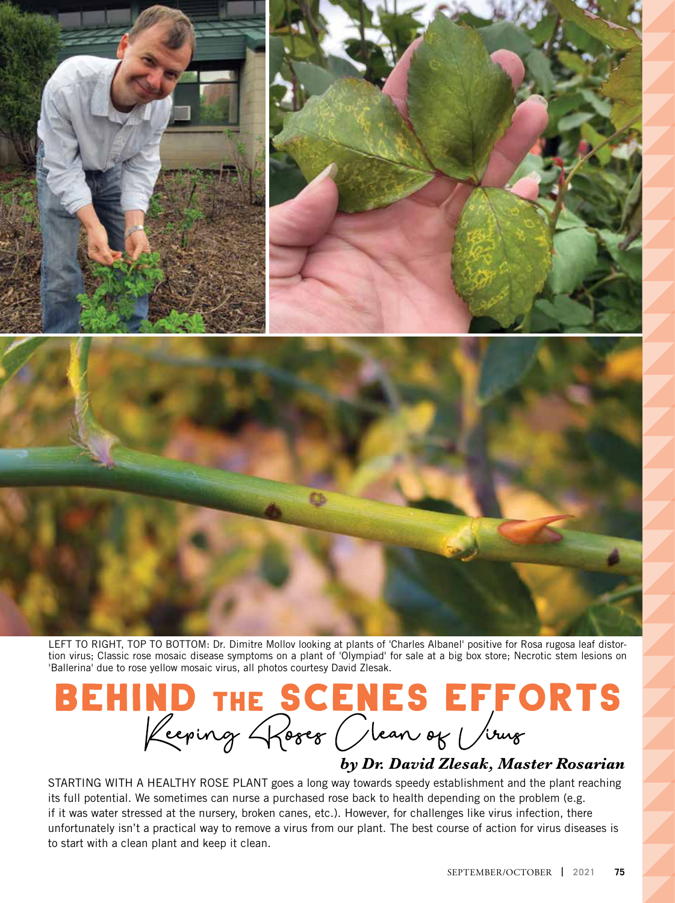



LEFT TO RIGHT, TOP TO BOTTOM: Dr. Dimitre Mollov looking at plants of 'Charles Albanel' positive for Rosa rugosa leaf distortion virus; Classic rose mosaic disease symptoms on a plant of 'Olympiad' for sale at a big box store; Necrotic stem lesions on 'Ballerina' due to rose yellow mosaic virus, all photos courtesy David Zlesak.

# BEHIND THE SCENES EFFORTS

#### *by Dr. David Zlesak, Master Rosarian*

STARTING WITH A HEALTHY ROSE PLANT goes a long way towards speedy establishment and the plant reaching its full potential. We sometimes can nurse a purchased rose back to health depending on the problem (e.g. if it was water stressed at the nursery, broken canes, etc.). However, for challenges like virus infection, there unfortunately isn't a practical way to remove a virus from our plant. The best course of action for virus diseases is to start with a clean plant and keep it clean.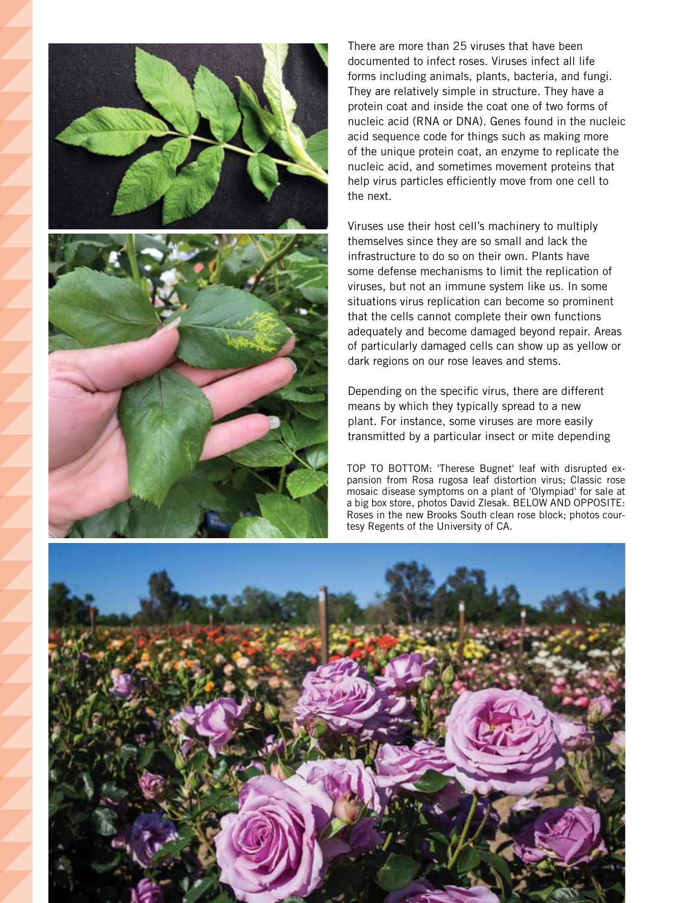

There are more than 25 viruses that have been documented to infect roses. Viruses infect all life forms including animals, plants, bacteria, and fungi. They are relatively simple in structure. They have a protein coat and inside the coat one of two forms of nucleic acid (RNA or DNA). Genes found in the nucleic acid sequence code for things such as making more of the unique protein coat, an enzyme to replicate the nucleic acid, and sometimes movement proteins that help virus particles efficiently move from one cell to the next.

Viruses use their host cell's machinery to multiply themselves since they are so small and lack the infrastructure to do so on their own. Plants have some defense mechanisms to limit the replication of viruses, but not an immune system like us. In some situations virus replication can become so prominent that the cells cannot complete their own functions adequately and become damaged beyond repair. Areas of particularly damaged cells can show up as yellow or dark regions on our rose leaves and stems.

Depending on the specific virus, there are different means by which they typically spread to a new plant. For instance, some viruses are more easily transmitted by a particular insect or mite depending

TOP TO BOTTOM: 'Therese Bugnet' leaf with disrupted expansion from Rosa rugosa leaf distortion virus; Classic rose mosaic disease symptoms on a plant of 'Olympiad' for sale at a big box store, photos David Zlesak. BELOW AND OPPOSITE: Roses in the new Brooks South clean rose block; photos courtesy Regents of the University of CA.

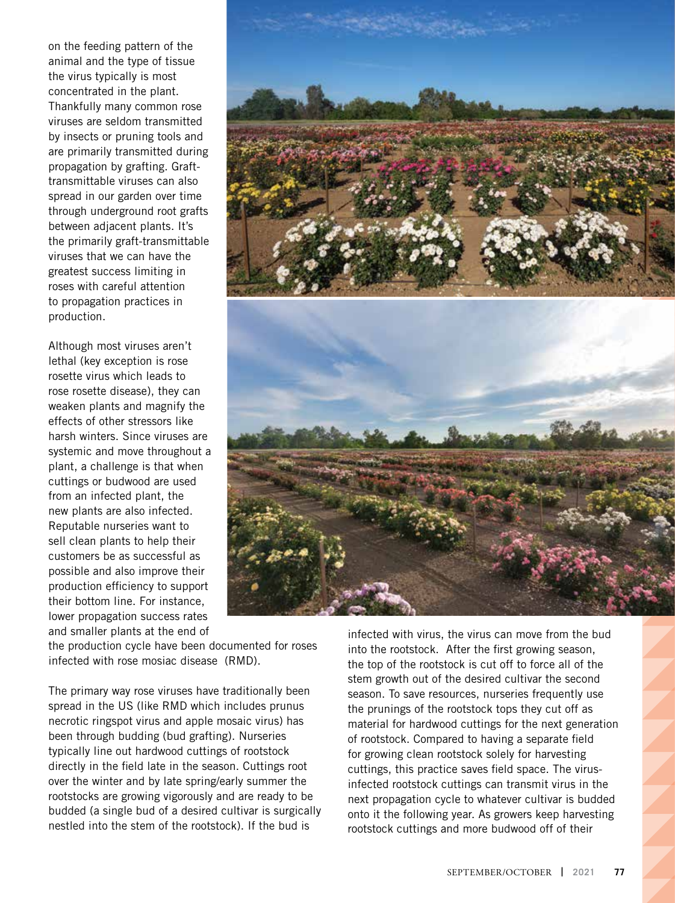on the feeding pattern of the animal and the type of tissue the virus typically is most concentrated in the plant. Thankfully many common rose viruses are seldom transmitted by insects or pruning tools and are primarily transmitted during propagation by grafting. Grafttransmittable viruses can also spread in our garden over time through underground root grafts between adjacent plants. It's the primarily graft-transmittable viruses that we can have the greatest success limiting in roses with careful attention to propagation practices in production.

Although most viruses aren't lethal (key exception is rose rosette virus which leads to rose rosette disease), they can weaken plants and magnify the effects of other stressors like harsh winters. Since viruses are systemic and move throughout a plant, a challenge is that when cuttings or budwood are used from an infected plant, the new plants are also infected. Reputable nurseries want to sell clean plants to help their customers be as successful as possible and also improve their production efficiency to support their bottom line. For instance, lower propagation success rates and smaller plants at the end of



the production cycle have been documented for roses infected with rose mosiac disease (RMD).

The primary way rose viruses have traditionally been spread in the US (like RMD which includes prunus necrotic ringspot virus and apple mosaic virus) has been through budding (bud grafting). Nurseries typically line out hardwood cuttings of rootstock directly in the field late in the season. Cuttings root over the winter and by late spring/early summer the rootstocks are growing vigorously and are ready to be budded (a single bud of a desired cultivar is surgically nestled into the stem of the rootstock). If the bud is

infected with virus, the virus can move from the bud into the rootstock. After the first growing season, the top of the rootstock is cut off to force all of the stem growth out of the desired cultivar the second season. To save resources, nurseries frequently use the prunings of the rootstock tops they cut off as material for hardwood cuttings for the next generation of rootstock. Compared to having a separate field for growing clean rootstock solely for harvesting cuttings, this practice saves field space. The virusinfected rootstock cuttings can transmit virus in the next propagation cycle to whatever cultivar is budded onto it the following year. As growers keep harvesting rootstock cuttings and more budwood off of their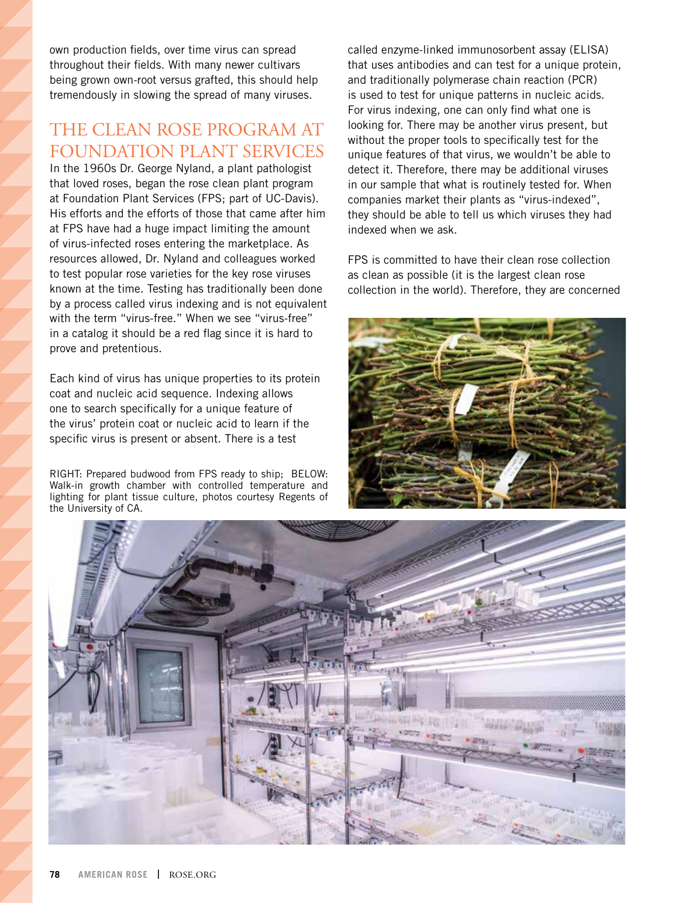own production fields, over time virus can spread throughout their fields. With many newer cultivars being grown own-root versus grafted, this should help tremendously in slowing the spread of many viruses.

## THE CLEAN ROSE PROGRAM AT FOUNDATION PLANT SERVICES

In the 1960s Dr. George Nyland, a plant pathologist that loved roses, began the rose clean plant program at Foundation Plant Services (FPS; part of UC-Davis). His efforts and the efforts of those that came after him at FPS have had a huge impact limiting the amount of virus-infected roses entering the marketplace. As resources allowed, Dr. Nyland and colleagues worked to test popular rose varieties for the key rose viruses known at the time. Testing has traditionally been done by a process called virus indexing and is not equivalent with the term "virus-free." When we see "virus-free" in a catalog it should be a red flag since it is hard to prove and pretentious.

Each kind of virus has unique properties to its protein coat and nucleic acid sequence. Indexing allows one to search specifically for a unique feature of the virus' protein coat or nucleic acid to learn if the specific virus is present or absent. There is a test

RIGHT: Prepared budwood from FPS ready to ship; BELOW: Walk-in growth chamber with controlled temperature and lighting for plant tissue culture, photos courtesy Regents of the University of CA.

called enzyme-linked immunosorbent assay (ELISA) that uses antibodies and can test for a unique protein, and traditionally polymerase chain reaction (PCR) is used to test for unique patterns in nucleic acids. For virus indexing, one can only find what one is looking for. There may be another virus present, but without the proper tools to specifically test for the unique features of that virus, we wouldn't be able to detect it. Therefore, there may be additional viruses in our sample that what is routinely tested for. When companies market their plants as "virus-indexed", they should be able to tell us which viruses they had indexed when we ask.

FPS is committed to have their clean rose collection as clean as possible (it is the largest clean rose collection in the world). Therefore, they are concerned



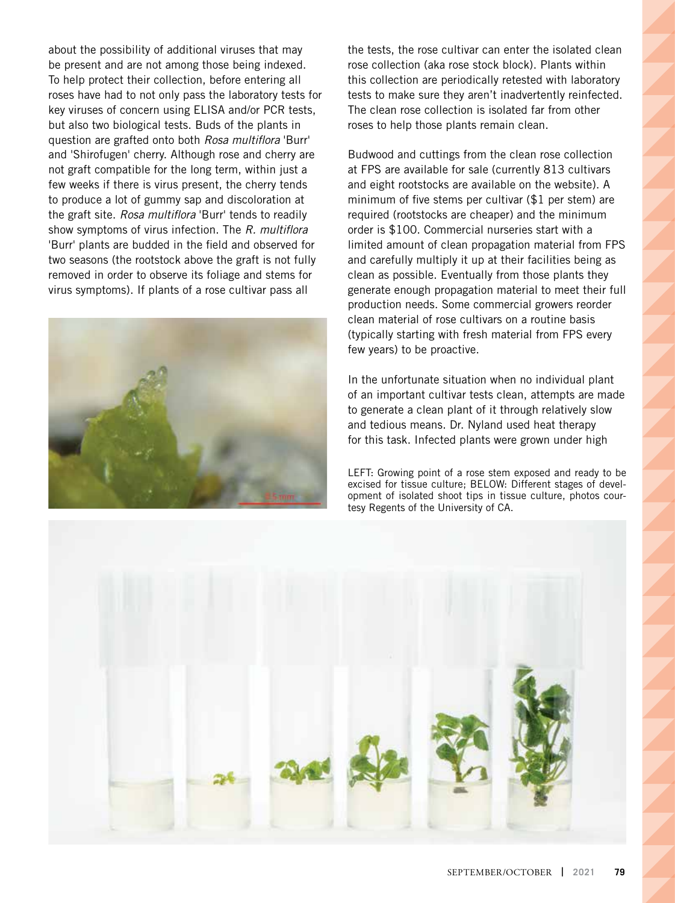about the possibility of additional viruses that may be present and are not among those being indexed. To help protect their collection, before entering all roses have had to not only pass the laboratory tests for key viruses of concern using ELISA and/or PCR tests, but also two biological tests. Buds of the plants in question are grafted onto both *Rosa multiflora* 'Burr' and 'Shirofugen' cherry. Although rose and cherry are not graft compatible for the long term, within just a few weeks if there is virus present, the cherry tends to produce a lot of gummy sap and discoloration at the graft site. *Rosa multiflora* 'Burr' tends to readily show symptoms of virus infection. The *R. multiflora*  'Burr' plants are budded in the field and observed for two seasons (the rootstock above the graft is not fully removed in order to observe its foliage and stems for virus symptoms). If plants of a rose cultivar pass all



the tests, the rose cultivar can enter the isolated clean rose collection (aka rose stock block). Plants within this collection are periodically retested with laboratory tests to make sure they aren't inadvertently reinfected. The clean rose collection is isolated far from other roses to help those plants remain clean.

Budwood and cuttings from the clean rose collection at FPS are available for sale (currently 813 cultivars and eight rootstocks are available on the website). A minimum of five stems per cultivar (\$1 per stem) are required (rootstocks are cheaper) and the minimum order is \$100. Commercial nurseries start with a limited amount of clean propagation material from FPS and carefully multiply it up at their facilities being as clean as possible. Eventually from those plants they generate enough propagation material to meet their full production needs. Some commercial growers reorder clean material of rose cultivars on a routine basis (typically starting with fresh material from FPS every few years) to be proactive.

In the unfortunate situation when no individual plant of an important cultivar tests clean, attempts are made to generate a clean plant of it through relatively slow and tedious means. Dr. Nyland used heat therapy for this task. Infected plants were grown under high

LEFT: Growing point of a rose stem exposed and ready to be excised for tissue culture; BELOW: Different stages of development of isolated shoot tips in tissue culture, photos courtesy Regents of the University of CA.

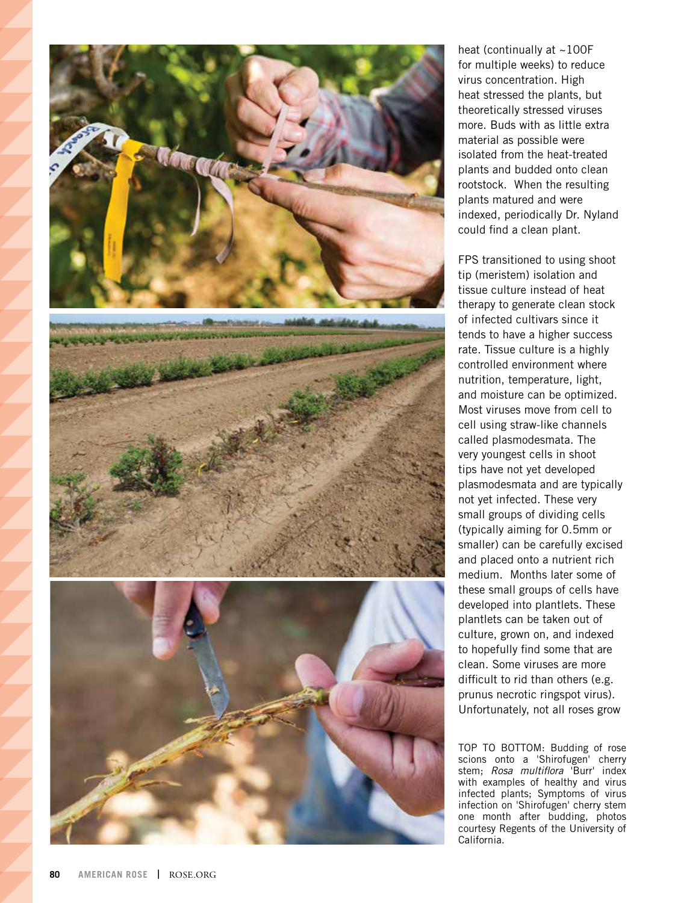

heat (continually at  $\sim$ 100F for multiple weeks) to reduce virus concentration. High heat stressed the plants, but theoretically stressed viruses more. Buds with as little extra material as possible were isolated from the heat-treated plants and budded onto clean rootstock. When the resulting plants matured and were indexed, periodically Dr. Nyland could find a clean plant.

FPS transitioned to using shoot tip (meristem) isolation and tissue culture instead of heat therapy to generate clean stock of infected cultivars since it tends to have a higher success rate. Tissue culture is a highly controlled environment where nutrition, temperature, light, and moisture can be optimized. Most viruses move from cell to cell using straw-like channels called plasmodesmata. The very youngest cells in shoot tips have not yet developed plasmodesmata and are typically not yet infected. These very small groups of dividing cells (typically aiming for 0.5mm or smaller) can be carefully excised and placed onto a nutrient rich medium. Months later some of these small groups of cells have developed into plantlets. These plantlets can be taken out of culture, grown on, and indexed to hopefully find some that are clean. Some viruses are more difficult to rid than others (e.g. prunus necrotic ringspot virus). Unfortunately, not all roses grow

TOP TO BOTTOM: Budding of rose scions onto a 'Shirofugen' cherry stem; *Rosa multiflora* 'Burr' index with examples of healthy and virus infected plants; Symptoms of virus infection on 'Shirofugen' cherry stem one month after budding, photos courtesy Regents of the University of California.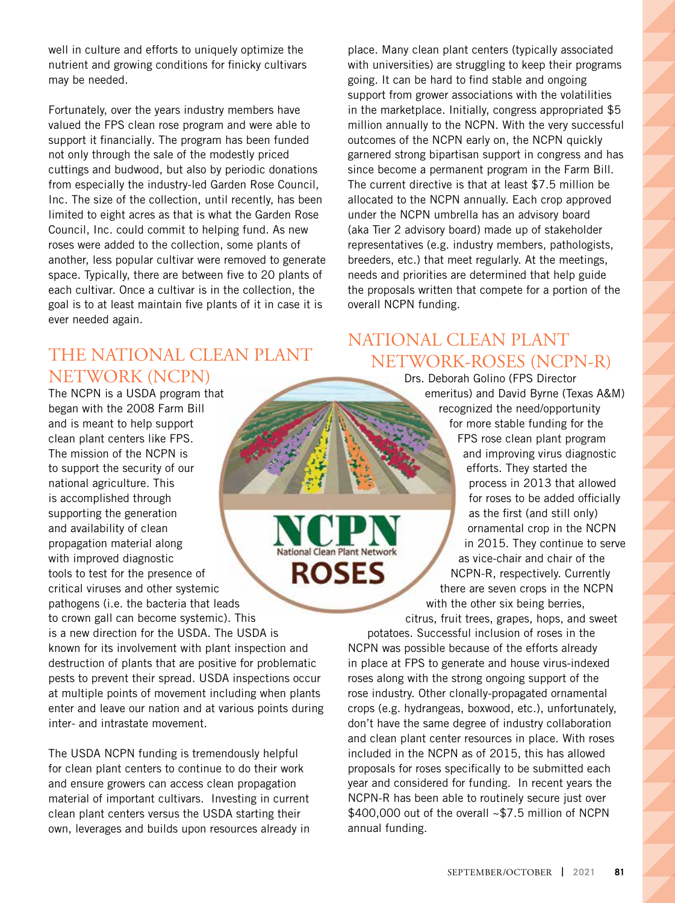well in culture and efforts to uniquely optimize the nutrient and growing conditions for finicky cultivars may be needed.

Fortunately, over the years industry members have valued the FPS clean rose program and were able to support it financially. The program has been funded not only through the sale of the modestly priced cuttings and budwood, but also by periodic donations from especially the industry-led Garden Rose Council, Inc. The size of the collection, until recently, has been limited to eight acres as that is what the Garden Rose Council, Inc. could commit to helping fund. As new roses were added to the collection, some plants of another, less popular cultivar were removed to generate space. Typically, there are between five to 20 plants of each cultivar. Once a cultivar is in the collection, the goal is to at least maintain five plants of it in case it is ever needed again.

## THE NATIONAL CLEAN PLANT NETWORK (NCPN)

The NCPN is a USDA program that began with the 2008 Farm Bill and is meant to help support clean plant centers like FPS. The mission of the NCPN is to support the security of our national agriculture. This is accomplished through supporting the generation and availability of clean propagation material along National Clean Plant Network with improved diagnostic **ROSES** tools to test for the presence of critical viruses and other systemic pathogens (i.e. the bacteria that leads to crown gall can become systemic). This is a new direction for the USDA. The USDA is known for its involvement with plant inspection and destruction of plants that are positive for problematic pests to prevent their spread. USDA inspections occur at multiple points of movement including when plants enter and leave our nation and at various points during inter- and intrastate movement.

The USDA NCPN funding is tremendously helpful for clean plant centers to continue to do their work and ensure growers can access clean propagation material of important cultivars. Investing in current clean plant centers versus the USDA starting their own, leverages and builds upon resources already in

place. Many clean plant centers (typically associated with universities) are struggling to keep their programs going. It can be hard to find stable and ongoing support from grower associations with the volatilities in the marketplace. Initially, congress appropriated \$5 million annually to the NCPN. With the very successful outcomes of the NCPN early on, the NCPN quickly garnered strong bipartisan support in congress and has since become a permanent program in the Farm Bill. The current directive is that at least \$7.5 million be allocated to the NCPN annually. Each crop approved under the NCPN umbrella has an advisory board (aka Tier 2 advisory board) made up of stakeholder representatives (e.g. industry members, pathologists, breeders, etc.) that meet regularly. At the meetings, needs and priorities are determined that help guide the proposals written that compete for a portion of the overall NCPN funding.

## NATIONAL CLEAN PLANT NETWORK-ROSES (NCPN-R)

Drs. Deborah Golino (FPS Director emeritus) and David Byrne (Texas A&M) recognized the need/opportunity for more stable funding for the FPS rose clean plant program and improving virus diagnostic efforts. They started the process in 2013 that allowed for roses to be added officially as the first (and still only) ornamental crop in the NCPN in 2015. They continue to serve as vice-chair and chair of the NCPN-R, respectively. Currently there are seven crops in the NCPN with the other six being berries,

citrus, fruit trees, grapes, hops, and sweet potatoes. Successful inclusion of roses in the NCPN was possible because of the efforts already in place at FPS to generate and house virus-indexed roses along with the strong ongoing support of the rose industry. Other clonally-propagated ornamental crops (e.g. hydrangeas, boxwood, etc.), unfortunately, don't have the same degree of industry collaboration and clean plant center resources in place. With roses included in the NCPN as of 2015, this has allowed proposals for roses specifically to be submitted each year and considered for funding. In recent years the NCPN-R has been able to routinely secure just over \$400,000 out of the overall ~\$7.5 million of NCPN annual funding.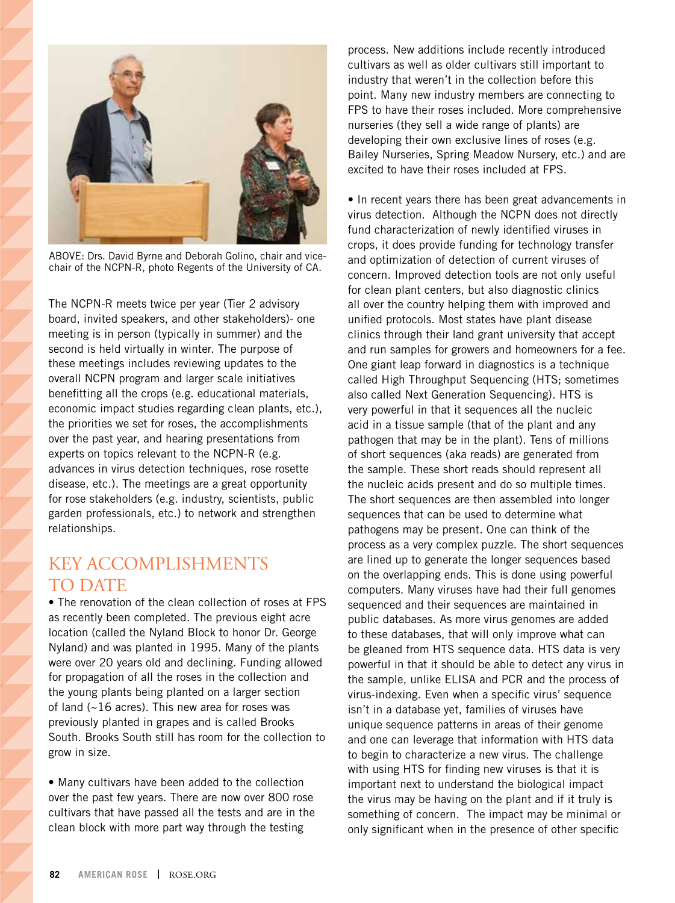

ABOVE: Drs. David Byrne and Deborah Golino, chair and vicechair of the NCPN-R, photo Regents of the University of CA.

The NCPN-R meets twice per year (Tier 2 advisory board, invited speakers, and other stakeholders)- one meeting is in person (typically in summer) and the second is held virtually in winter. The purpose of these meetings includes reviewing updates to the overall NCPN program and larger scale initiatives benefitting all the crops (e.g. educational materials, economic impact studies regarding clean plants, etc.), the priorities we set for roses, the accomplishments over the past year, and hearing presentations from experts on topics relevant to the NCPN-R (e.g. advances in virus detection techniques, rose rosette disease, etc.). The meetings are a great opportunity for rose stakeholders (e.g. industry, scientists, public garden professionals, etc.) to network and strengthen relationships.

### KEY ACCOMPLISHMENTS TO DATE

• The renovation of the clean collection of roses at FPS as recently been completed. The previous eight acre location (called the Nyland Block to honor Dr. George Nyland) and was planted in 1995. Many of the plants were over 20 years old and declining. Funding allowed for propagation of all the roses in the collection and the young plants being planted on a larger section of land (~16 acres). This new area for roses was previously planted in grapes and is called Brooks South. Brooks South still has room for the collection to grow in size.

• Many cultivars have been added to the collection over the past few years. There are now over 800 rose cultivars that have passed all the tests and are in the clean block with more part way through the testing

process. New additions include recently introduced cultivars as well as older cultivars still important to industry that weren't in the collection before this point. Many new industry members are connecting to FPS to have their roses included. More comprehensive nurseries (they sell a wide range of plants) are developing their own exclusive lines of roses (e.g. Bailey Nurseries, Spring Meadow Nursery, etc.) and are excited to have their roses included at FPS.

• In recent years there has been great advancements in virus detection. Although the NCPN does not directly fund characterization of newly identified viruses in crops, it does provide funding for technology transfer and optimization of detection of current viruses of concern. Improved detection tools are not only useful for clean plant centers, but also diagnostic clinics all over the country helping them with improved and unified protocols. Most states have plant disease clinics through their land grant university that accept and run samples for growers and homeowners for a fee. One giant leap forward in diagnostics is a technique called High Throughput Sequencing (HTS; sometimes also called Next Generation Sequencing). HTS is very powerful in that it sequences all the nucleic acid in a tissue sample (that of the plant and any pathogen that may be in the plant). Tens of millions of short sequences (aka reads) are generated from the sample. These short reads should represent all the nucleic acids present and do so multiple times. The short sequences are then assembled into longer sequences that can be used to determine what pathogens may be present. One can think of the process as a very complex puzzle. The short sequences are lined up to generate the longer sequences based on the overlapping ends. This is done using powerful computers. Many viruses have had their full genomes sequenced and their sequences are maintained in public databases. As more virus genomes are added to these databases, that will only improve what can be gleaned from HTS sequence data. HTS data is very powerful in that it should be able to detect any virus in the sample, unlike ELISA and PCR and the process of virus-indexing. Even when a specific virus' sequence isn't in a database yet, families of viruses have unique sequence patterns in areas of their genome and one can leverage that information with HTS data to begin to characterize a new virus. The challenge with using HTS for finding new viruses is that it is important next to understand the biological impact the virus may be having on the plant and if it truly is something of concern. The impact may be minimal or only significant when in the presence of other specific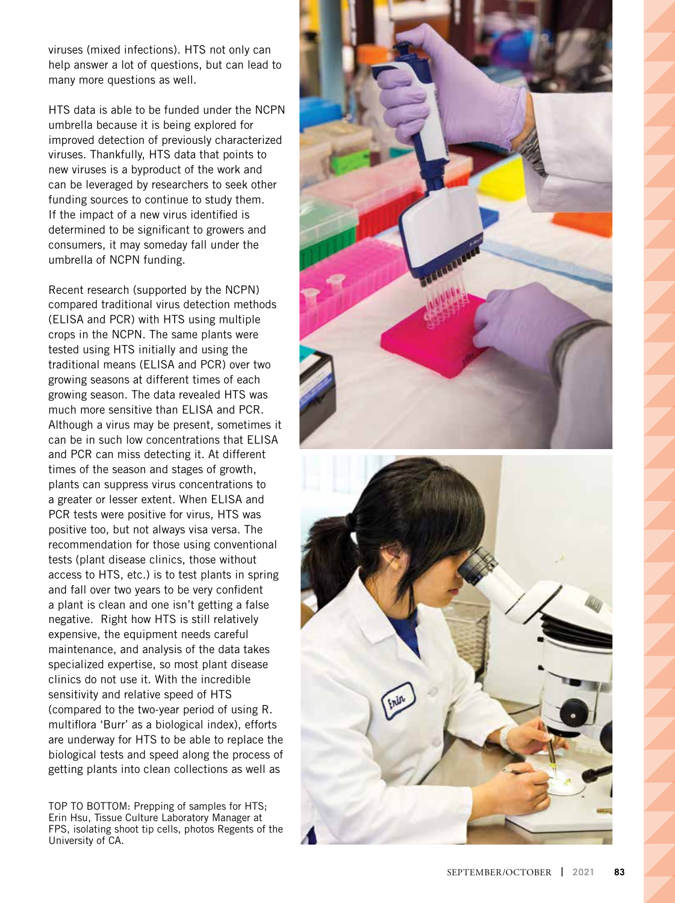viruses (mixed infections). HTS not only can help answer a lot of questions, but can lead to many more questions as well.

HTS data is able to be funded under the NCPN umbrella because it is being explored for improved detection of previously characterized viruses. Thankfully, HTS data that points to new viruses is a byproduct of the work and can be leveraged by researchers to seek other funding sources to continue to study them. If the impact of a new virus identified is determined to be significant to growers and consumers, it may someday fall under the umbrella of NCPN funding.

Recent research (supported by the NCPN) compared traditional virus detection methods (ELISA and PCR) with HTS using multiple crops in the NCPN. The same plants were tested using HTS initially and using the traditional means (ELISA and PCR) over two growing seasons at different times of each growing season. The data revealed HTS was much more sensitive than ELISA and PCR. Although a virus may be present, sometimes it can be in such low concentrations that ELISA and PCR can miss detecting it. At different times of the season and stages of growth, plants can suppress virus concentrations to a greater or lesser extent. When ELISA and PCR tests were positive for virus, HTS was positive too, but not always visa versa. The recommendation for those using conventional tests (plant disease clinics, those without access to HTS, etc.) is to test plants in spring and fall over two years to be very confident a plant is clean and one isn't getting a false negative. Right how HTS is still relatively expensive, the equipment needs careful maintenance, and analysis of the data takes specialized expertise, so most plant disease clinics do not use it. With the incredible sensitivity and relative speed of HTS (compared to the two-year period of using R. multiflora 'Burr' as a biological index), efforts are underway for HTS to be able to replace the biological tests and speed along the process of getting plants into clean collections as well as

TOP TO BOTTOM: Prepping of samples for HTS; Erin Hsu, Tissue Culture Laboratory Manager at FPS, isolating shoot tip cells, photos Regents of the University of CA.